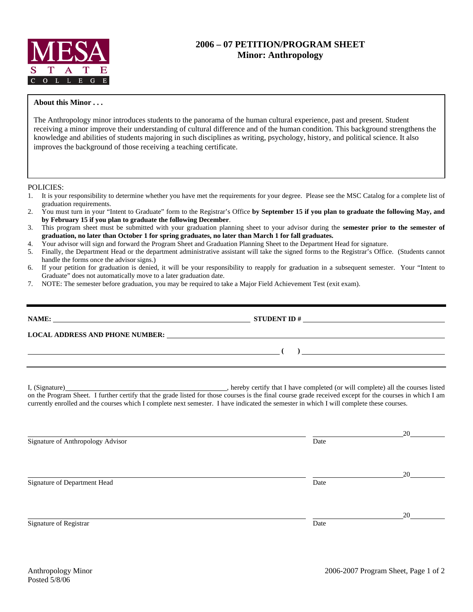

## **2006 – 07 PETITION/PROGRAM SHEET Minor: Anthropology**

## **About this Minor . . .**

The Anthropology minor introduces students to the panorama of the human cultural experience, past and present. Student receiving a minor improve their understanding of cultural difference and of the human condition. This background strengthens the knowledge and abilities of students majoring in such disciplines as writing, psychology, history, and political science. It also improves the background of those receiving a teaching certificate.

POLICIES:

- 1. It is your responsibility to determine whether you have met the requirements for your degree. Please see the MSC Catalog for a complete list of graduation requirements.
- 2. You must turn in your "Intent to Graduate" form to the Registrar's Office **by September 15 if you plan to graduate the following May, and by February 15 if you plan to graduate the following December**.
- 3. This program sheet must be submitted with your graduation planning sheet to your advisor during the **semester prior to the semester of graduation, no later than October 1 for spring graduates, no later than March 1 for fall graduates.**
- 4. Your advisor will sign and forward the Program Sheet and Graduation Planning Sheet to the Department Head for signature.
- 5. Finally, the Department Head or the department administrative assistant will take the signed forms to the Registrar's Office. (Students cannot handle the forms once the advisor signs.)
- 6. If your petition for graduation is denied, it will be your responsibility to reapply for graduation in a subsequent semester. Your "Intent to Graduate" does not automatically move to a later graduation date.
- 7. NOTE: The semester before graduation, you may be required to take a Major Field Achievement Test (exit exam).

|                                                                                                                                          | $\overline{a}$ ( ) and the contract of $\overline{a}$ ( ) and the contract of $\overline{a}$ and $\overline{a}$ and $\overline{a}$ and $\overline{a}$ and $\overline{a}$ and $\overline{a}$ and $\overline{a}$ and $\overline{a}$ and $\overline{a}$ and $\overline{a}$ and $\overline{a}$ and $\overline{a}$ and |  |  |  |  |  |
|------------------------------------------------------------------------------------------------------------------------------------------|-------------------------------------------------------------------------------------------------------------------------------------------------------------------------------------------------------------------------------------------------------------------------------------------------------------------|--|--|--|--|--|
| currently enrolled and the courses which I complete next semester. I have indicated the semester in which I will complete these courses. |                                                                                                                                                                                                                                                                                                                   |  |  |  |  |  |
| Signature of Anthropology Advisor                                                                                                        | Date                                                                                                                                                                                                                                                                                                              |  |  |  |  |  |
| Signature of Department Head                                                                                                             | Date                                                                                                                                                                                                                                                                                                              |  |  |  |  |  |
| Signature of Registrar                                                                                                                   | Date                                                                                                                                                                                                                                                                                                              |  |  |  |  |  |